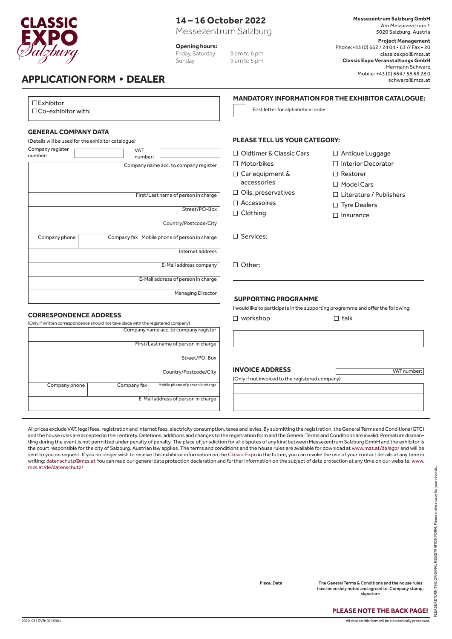

# **14 – 16 October 2022**

Messezentrum Salzburg

**Opening hours:**

Friday, Saturday 9 am to 6 pm<br>Sunday 9 am to 5 pm 9 am to 5 pm **Messezentrum Salzburg GmbH** Am Messezentrum 1 5020 Salzburg, Austria

**Project Management** Phone:+43 (0) 662 / 24 04 - 63 // Fax - 20 classicexpo@mzs.at **Classic Expo Veranstaltungs GmbH** Hermann Schwarz Mobile: +43 (0) 664 / 58 68 28 0 schwarz@mzs.at

## **APPLICATION FORM  •  DEALER**

| □Co-exhibitor with:<br><b>GENERAL COMPANY DATA</b><br>(Details will be used for the exhibitor catalogue)<br>Company register<br><b>VAT</b><br>number:<br>number:<br>Company name acc. to company register<br>First/Last name of person in charge<br>Street/PO-Box<br>Country/Postcode/City<br>Company fax   Mobile phone of person in charge<br>Company phone<br>Internet address | First letter for alphabetical order<br><b>PLEASE TELL US YOUR CATEGORY:</b><br>$\Box$ Oldtimer & Classic Cars<br>$\Box$ Antique Luggage<br>□ Interior Decorator<br>$\Box$ Motorbikes<br>$\Box$ Car equipment &<br>$\Box$ Restorer<br>accessories<br>$\Box$ Model Cars<br>$\Box$ Oils, preservatives<br>$\Box$ Literature / Publishers<br>$\Box$ Accessoires<br>$\Box$ Tyre Dealers<br>$\Box$ Clothing<br>$\Box$ Insurance |  |  |  |
|-----------------------------------------------------------------------------------------------------------------------------------------------------------------------------------------------------------------------------------------------------------------------------------------------------------------------------------------------------------------------------------|---------------------------------------------------------------------------------------------------------------------------------------------------------------------------------------------------------------------------------------------------------------------------------------------------------------------------------------------------------------------------------------------------------------------------|--|--|--|
|                                                                                                                                                                                                                                                                                                                                                                                   |                                                                                                                                                                                                                                                                                                                                                                                                                           |  |  |  |
|                                                                                                                                                                                                                                                                                                                                                                                   |                                                                                                                                                                                                                                                                                                                                                                                                                           |  |  |  |
|                                                                                                                                                                                                                                                                                                                                                                                   |                                                                                                                                                                                                                                                                                                                                                                                                                           |  |  |  |
|                                                                                                                                                                                                                                                                                                                                                                                   |                                                                                                                                                                                                                                                                                                                                                                                                                           |  |  |  |
|                                                                                                                                                                                                                                                                                                                                                                                   |                                                                                                                                                                                                                                                                                                                                                                                                                           |  |  |  |
|                                                                                                                                                                                                                                                                                                                                                                                   |                                                                                                                                                                                                                                                                                                                                                                                                                           |  |  |  |
|                                                                                                                                                                                                                                                                                                                                                                                   |                                                                                                                                                                                                                                                                                                                                                                                                                           |  |  |  |
|                                                                                                                                                                                                                                                                                                                                                                                   |                                                                                                                                                                                                                                                                                                                                                                                                                           |  |  |  |
|                                                                                                                                                                                                                                                                                                                                                                                   |                                                                                                                                                                                                                                                                                                                                                                                                                           |  |  |  |
|                                                                                                                                                                                                                                                                                                                                                                                   |                                                                                                                                                                                                                                                                                                                                                                                                                           |  |  |  |
|                                                                                                                                                                                                                                                                                                                                                                                   |                                                                                                                                                                                                                                                                                                                                                                                                                           |  |  |  |
|                                                                                                                                                                                                                                                                                                                                                                                   | $\Box$ Services:                                                                                                                                                                                                                                                                                                                                                                                                          |  |  |  |
|                                                                                                                                                                                                                                                                                                                                                                                   |                                                                                                                                                                                                                                                                                                                                                                                                                           |  |  |  |
| E-Mail address company                                                                                                                                                                                                                                                                                                                                                            | $\Box$ Other:                                                                                                                                                                                                                                                                                                                                                                                                             |  |  |  |
| E-Mail address of person in charge                                                                                                                                                                                                                                                                                                                                                |                                                                                                                                                                                                                                                                                                                                                                                                                           |  |  |  |
| <b>Managing Director</b>                                                                                                                                                                                                                                                                                                                                                          | <b>SUPPORTING PROGRAMME</b>                                                                                                                                                                                                                                                                                                                                                                                               |  |  |  |
|                                                                                                                                                                                                                                                                                                                                                                                   | I would like to participate in the supporting programme and offer the following:                                                                                                                                                                                                                                                                                                                                          |  |  |  |
| <b>CORRESPONDENCE ADDRESS</b>                                                                                                                                                                                                                                                                                                                                                     | $\Box$ workshop<br>$\Box$ talk                                                                                                                                                                                                                                                                                                                                                                                            |  |  |  |
| (Only if written correspondence should not take place with the registered company)<br>Company name acc. to company register                                                                                                                                                                                                                                                       |                                                                                                                                                                                                                                                                                                                                                                                                                           |  |  |  |
| First/Last name of person in charge                                                                                                                                                                                                                                                                                                                                               |                                                                                                                                                                                                                                                                                                                                                                                                                           |  |  |  |
| Street/PO-Box                                                                                                                                                                                                                                                                                                                                                                     |                                                                                                                                                                                                                                                                                                                                                                                                                           |  |  |  |
| Country/Postcode/City                                                                                                                                                                                                                                                                                                                                                             | <b>INVOICE ADDRESS</b><br>VAT number:                                                                                                                                                                                                                                                                                                                                                                                     |  |  |  |
| Company phone<br>Mobile phone of person in charge<br>Company fax                                                                                                                                                                                                                                                                                                                  | (Only if not invoiced to the registered company)                                                                                                                                                                                                                                                                                                                                                                          |  |  |  |
| E-Mail address of person in charge                                                                                                                                                                                                                                                                                                                                                |                                                                                                                                                                                                                                                                                                                                                                                                                           |  |  |  |
|                                                                                                                                                                                                                                                                                                                                                                                   |                                                                                                                                                                                                                                                                                                                                                                                                                           |  |  |  |

All prices exclude VAT, legal fees, registration and internet fees, electricity consumption, taxes and levies. By submitting the registration, the General Terms and Conditions (GTC) and the house rules are accepted in their entirety. Deletions, additions and changes to the registration form and the General Terms and Conditions are invalid. Premature dismantling during the event is not permitted under penalty of penalty. The place of jurisdiction for all disputes of any kind between Messezentrum Salzburg GmbH and the exhibitor is the court responsible for the city of Salzburg. Austrian law applies. The terms and conditions and the house rules are available for download at www.mzs.at/de/agb/ and will be sent to you on request. If you no longer wish to receive this exhibitor information on the Classic Expo in the future, you can revoke the use of your contact details at any time in writing: datenschutz@mzs.at You can read our general data protection declaration and further information on the subject of data protection at any time on our website: www. mzs.at/de/datenschutz/

Place, Date The General Terms & Conditions and the house rules have been duly noted and agreed to. Company stamp,

signature